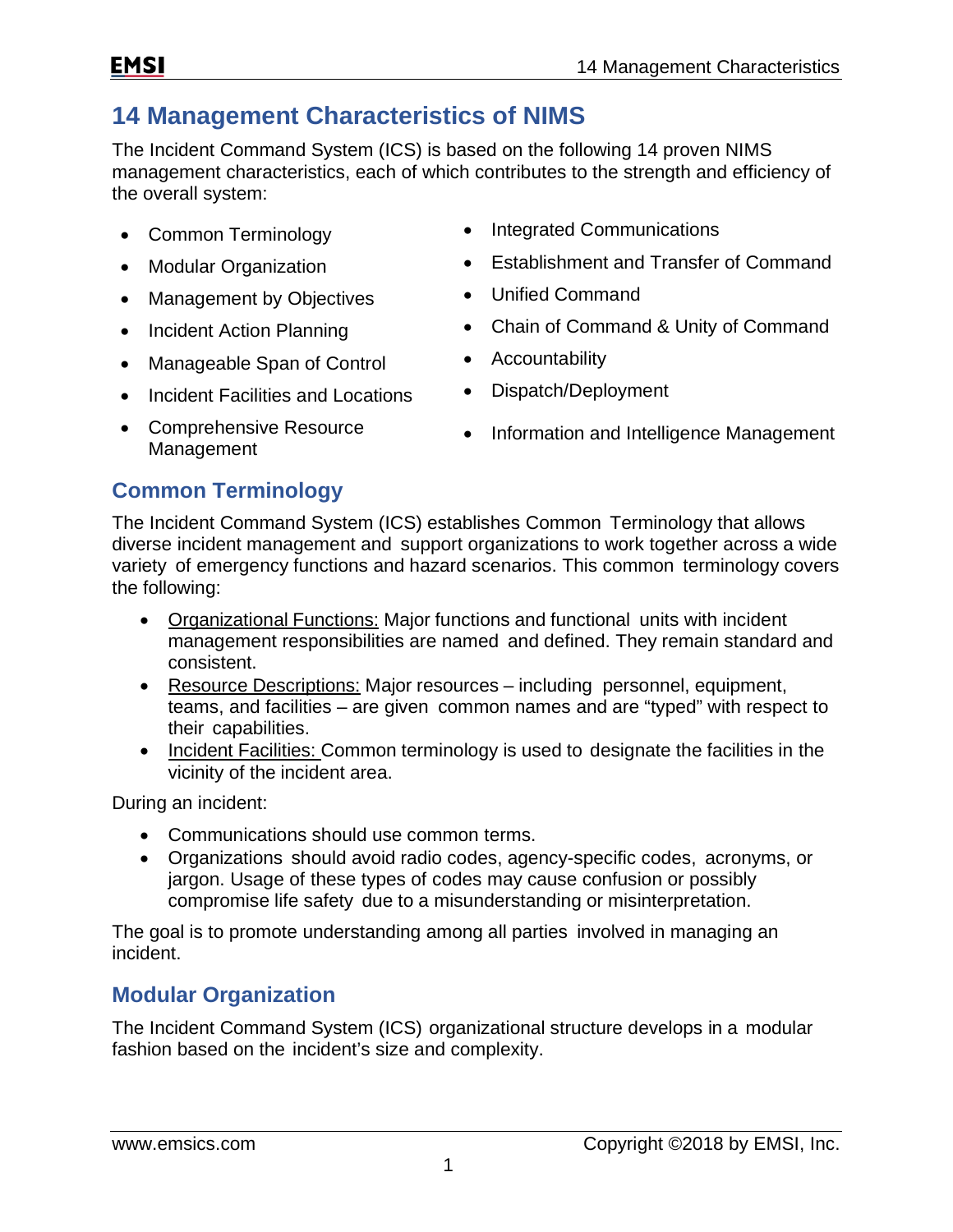# **14 Management Characteristics of NIMS**

The Incident Command System (ICS) is based on the following 14 proven NIMS management characteristics, each of which contributes to the strength and efficiency of the overall system:

- 
- 
- Management by Objectives Unified Command
- 
- Manageable Span of Control Accountability
- Incident Facilities and Locations Dispatch/Deployment
- Comprehensive Resource
- Common Terminology **•** Integrated Communications
- Modular Organization Establishment and Transfer of Command
	-
- Incident Action Planning Chain of Command & Unity of Command
	-
	-
	- Comprenensive Resource **•** Information and Intelligence Management Management

### **Common Terminology**

The Incident Command System (ICS) establishes Common Terminology that allows diverse incident management and support organizations to work together across a wide variety of emergency functions and hazard scenarios. This common terminology covers the following:

- Organizational Functions: Major functions and functional units with incident management responsibilities are named and defined. They remain standard and consistent.
- Resource Descriptions: Major resources including personnel, equipment, teams, and facilities – are given common names and are "typed" with respect to their capabilities.
- Incident Facilities: Common terminology is used to designate the facilities in the vicinity of the incident area.

During an incident:

- Communications should use common terms.
- Organizations should avoid radio codes, agency-specific codes, acronyms, or jargon. Usage of these types of codes may cause confusion or possibly compromise life safety due to a misunderstanding or misinterpretation.

The goal is to promote understanding among all parties involved in managing an incident.

### **Modular Organization**

The Incident Command System (ICS) organizational structure develops in a modular fashion based on the incident's size and complexity.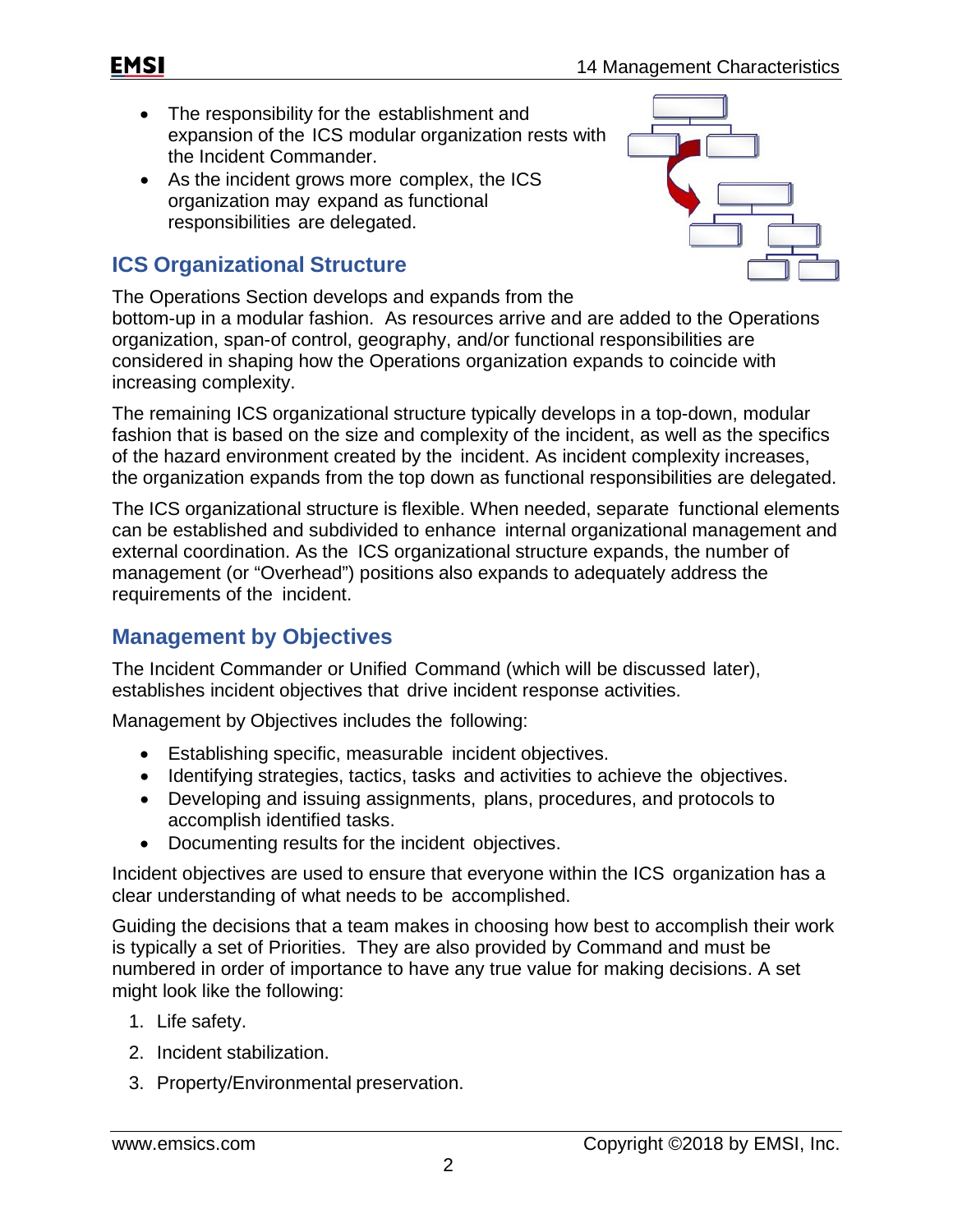- The responsibility for the establishment and expansion of the ICS modular organization rests with the Incident Commander.
- As the incident grows more complex, the ICS organization may expand as functional responsibilities are delegated.

### **ICS Organizational Structure**



The Operations Section develops and expands from the bottom-up in a modular fashion. As resources arrive and are added to the Operations organization, span-of control, geography, and/or functional responsibilities are considered in shaping how the Operations organization expands to coincide with increasing complexity.

The remaining ICS organizational structure typically develops in a top-down, modular fashion that is based on the size and complexity of the incident, as well as the specifics of the hazard environment created by the incident. As incident complexity increases, the organization expands from the top down as functional responsibilities are delegated.

The ICS organizational structure is flexible. When needed, separate functional elements can be established and subdivided to enhance internal organizational management and external coordination. As the ICS organizational structure expands, the number of management (or "Overhead") positions also expands to adequately address the requirements of the incident.

#### **Management by Objectives**

The Incident Commander or Unified Command (which will be discussed later), establishes incident objectives that drive incident response activities.

Management by Objectives includes the following:

- Establishing specific, measurable incident objectives.
- Identifying strategies, tactics, tasks and activities to achieve the objectives.
- Developing and issuing assignments, plans, procedures, and protocols to accomplish identified tasks.
- Documenting results for the incident objectives.

Incident objectives are used to ensure that everyone within the ICS organization has a clear understanding of what needs to be accomplished.

Guiding the decisions that a team makes in choosing how best to accomplish their work is typically a set of Priorities. They are also provided by Command and must be numbered in order of importance to have any true value for making decisions. A set might look like the following:

- 1. Life safety.
- 2. Incident stabilization.
- 3. Property/Environmental preservation.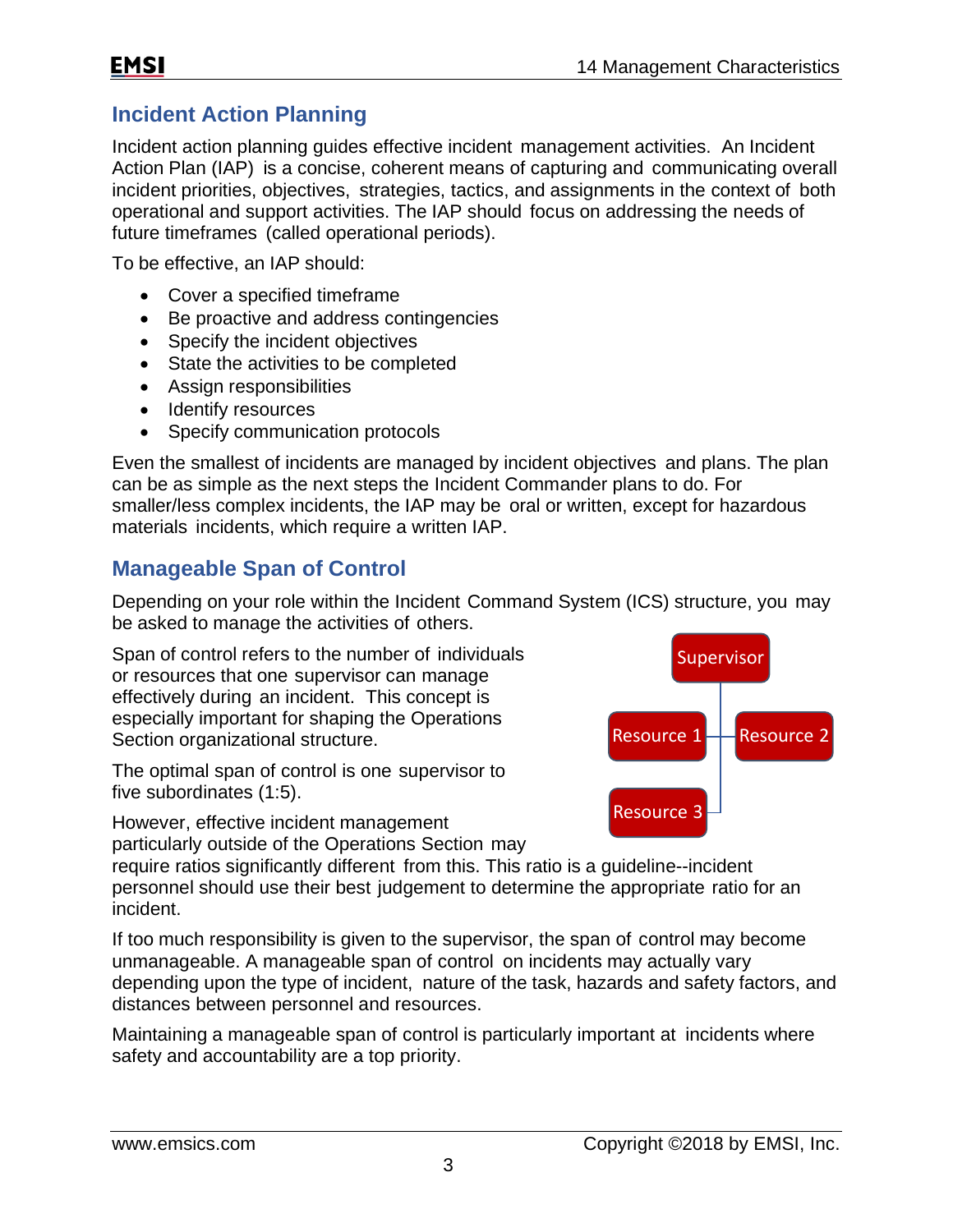### **EMSI**

### **Incident Action Planning**

Incident action planning guides effective incident management activities. An Incident Action Plan (IAP) is a concise, coherent means of capturing and communicating overall incident priorities, objectives, strategies, tactics, and assignments in the context of both operational and support activities. The IAP should focus on addressing the needs of future timeframes (called operational periods).

To be effective, an IAP should:

- Cover a specified timeframe
- Be proactive and address contingencies
- Specify the incident objectives
- State the activities to be completed
- Assign responsibilities
- Identify resources
- Specify communication protocols

Even the smallest of incidents are managed by incident objectives and plans. The plan can be as simple as the next steps the Incident Commander plans to do. For smaller/less complex incidents, the IAP may be oral or written, except for hazardous materials incidents, which require a written IAP.

## **Manageable Span of Control**

Depending on your role within the Incident Command System (ICS) structure, you may be asked to manage the activities of others.

Span of control refers to the number of individuals or resources that one supervisor can manage effectively during an incident. This concept is especially important for shaping the Operations Section organizational structure.

The optimal span of control is one supervisor to five subordinates (1:5).

However, effective incident management particularly outside of the Operations Section may



require ratios significantly different from this. This ratio is a guideline--incident personnel should use their best judgement to determine the appropriate ratio for an incident.

If too much responsibility is given to the supervisor, the span of control may become unmanageable. A manageable span of control on incidents may actually vary depending upon the type of incident, nature of the task, hazards and safety factors, and distances between personnel and resources.

Maintaining a manageable span of control is particularly important at incidents where safety and accountability are a top priority.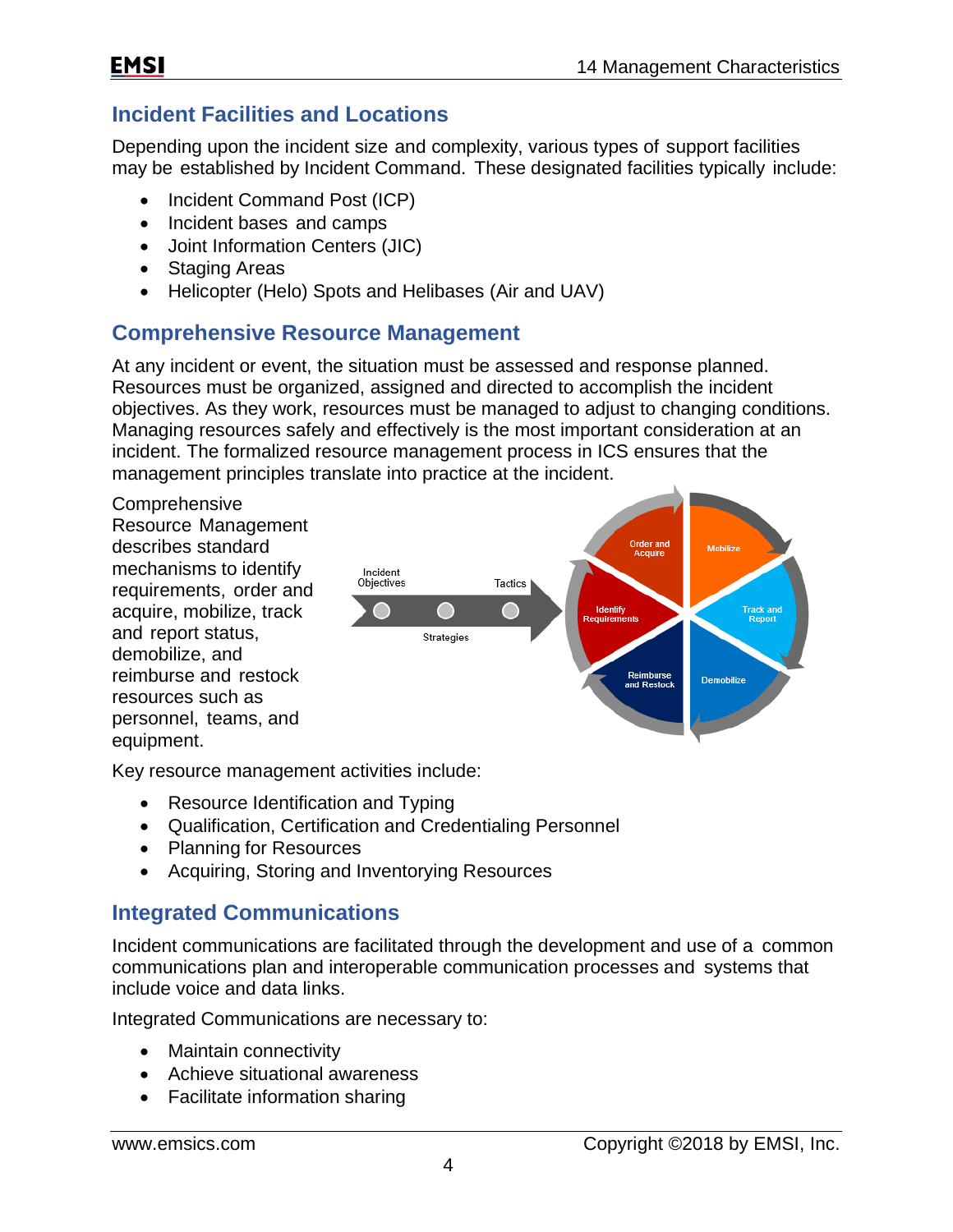### **Incident Facilities and Locations**

Depending upon the incident size and complexity, various types of support facilities may be established by Incident Command. These designated facilities typically include:

- Incident Command Post (ICP)
- Incident bases and camps
- Joint Information Centers (JIC)
- Staging Areas
- Helicopter (Helo) Spots and Helibases (Air and UAV)

#### **Comprehensive Resource Management**

At any incident or event, the situation must be assessed and response planned. Resources must be organized, assigned and directed to accomplish the incident objectives. As they work, resources must be managed to adjust to changing conditions. Managing resources safely and effectively is the most important consideration at an incident. The formalized resource management process in ICS ensures that the management principles translate into practice at the incident.



Key resource management activities include:

- Resource Identification and Typing
- Qualification, Certification and Credentialing Personnel
- Planning for Resources
- Acquiring, Storing and Inventorying Resources

#### **Integrated Communications**

Incident communications are facilitated through the development and use of a common communications plan and interoperable communication processes and systems that include voice and data links.

Integrated Communications are necessary to:

- Maintain connectivity
- Achieve situational awareness
- Facilitate information sharing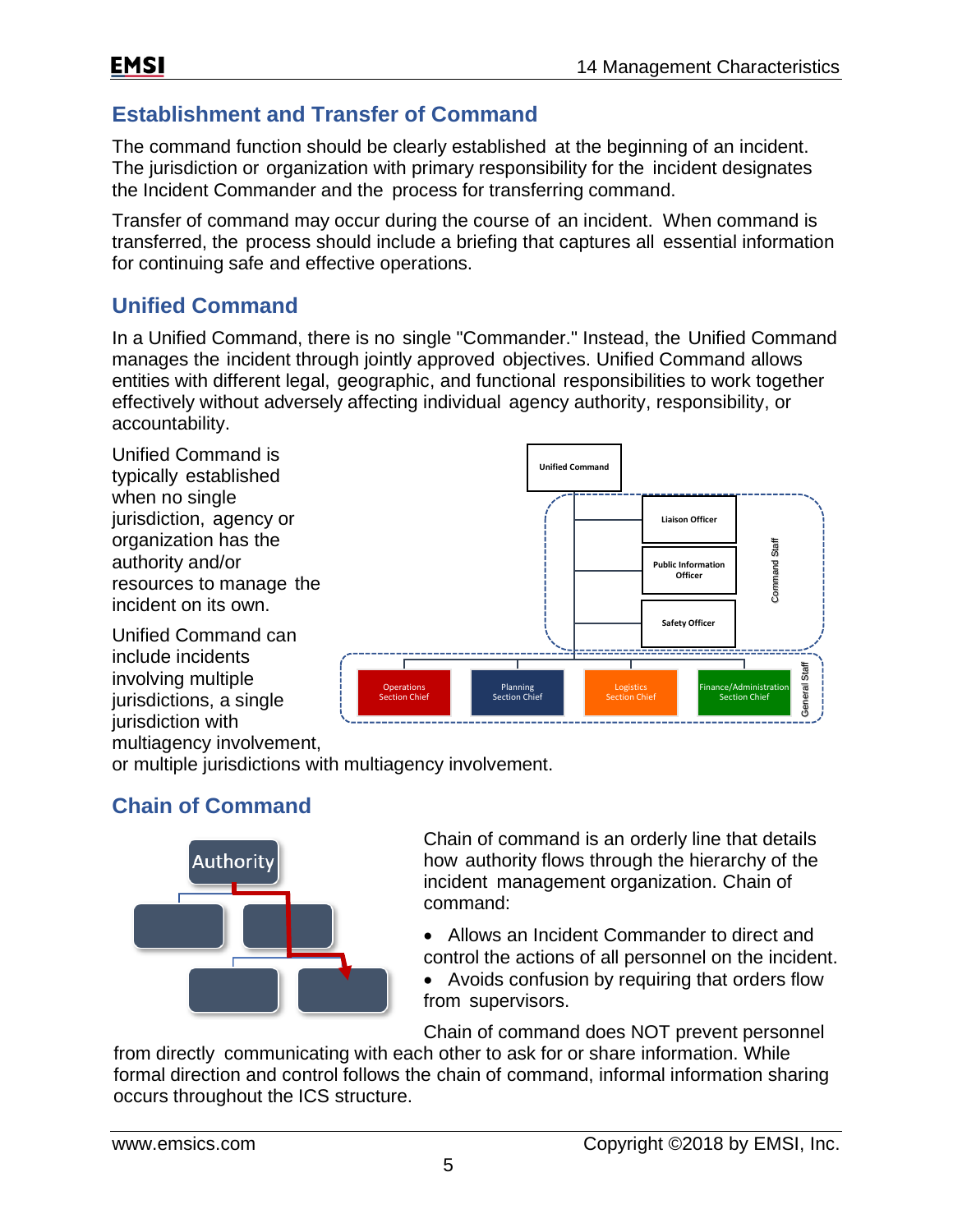### **Establishment and Transfer of Command**

The command function should be clearly established at the beginning of an incident. The jurisdiction or organization with primary responsibility for the incident designates the Incident Commander and the process for transferring command.

Transfer of command may occur during the course of an incident. When command is transferred, the process should include a briefing that captures all essential information for continuing safe and effective operations.

#### **Unified Command**

In a Unified Command, there is no single "Commander." Instead, the Unified Command manages the incident through jointly approved objectives. Unified Command allows entities with different legal, geographic, and functional responsibilities to work together effectively without adversely affecting individual agency authority, responsibility, or accountability.

Unified Command is typically established when no single jurisdiction, agency or organization has the authority and/or resources to manage the incident on its own.

Unified Command can include incidents involving multiple jurisdictions, a single jurisdiction with multiagency involvement,



or multiple jurisdictions with multiagency involvement.

# **Chain of Command**



Chain of command is an orderly line that details how authority flows through the hierarchy of the incident management organization. Chain of command:

- Allows an Incident Commander to direct and control the actions of all personnel on the incident.
- Avoids confusion by requiring that orders flow from supervisors.

Chain of command does NOT prevent personnel

from directly communicating with each other to ask for or share information. While formal direction and control follows the chain of command, informal information sharing occurs throughout the ICS structure.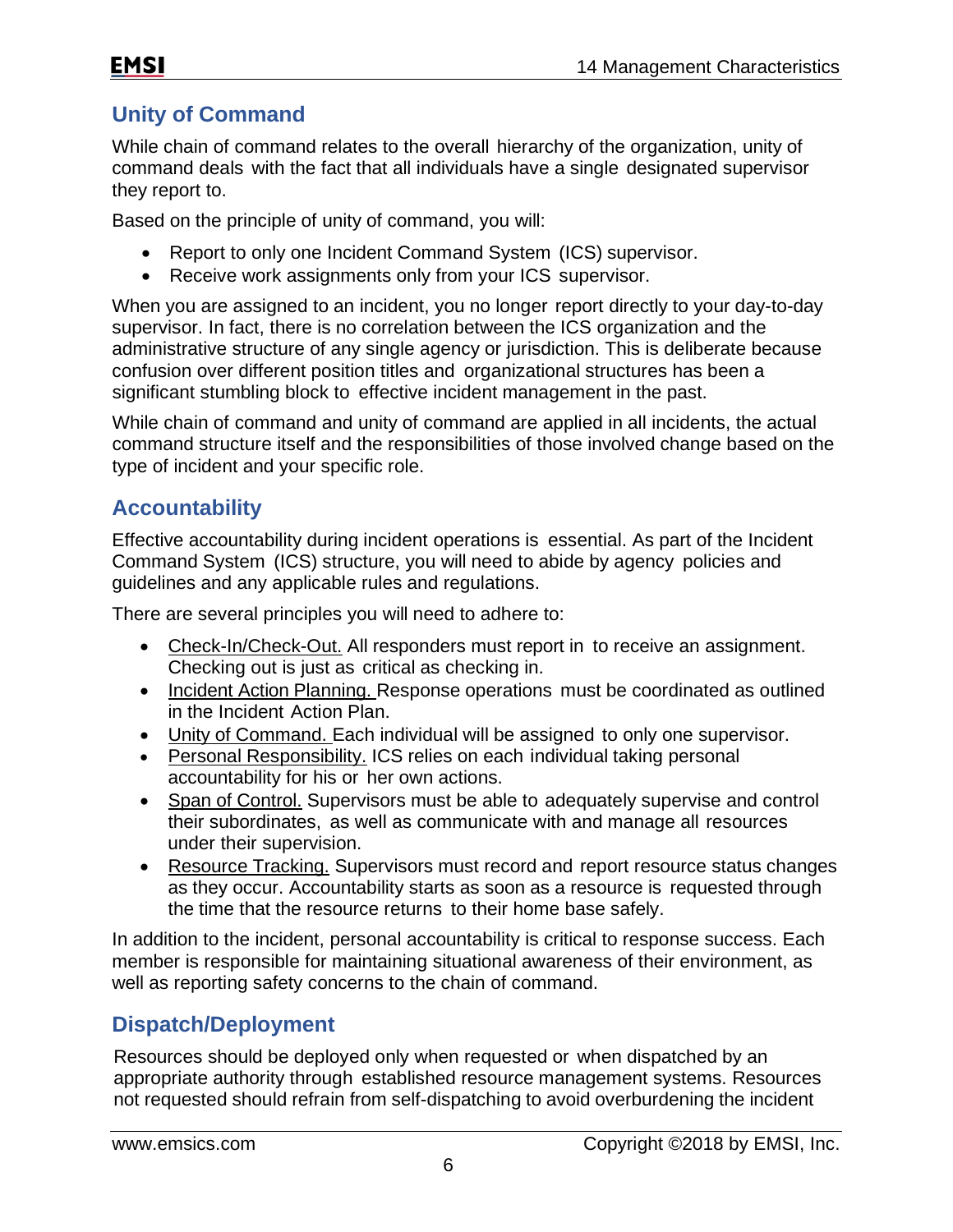# **Unity of Command**

While chain of command relates to the overall hierarchy of the organization, unity of command deals with the fact that all individuals have a single designated supervisor they report to.

Based on the principle of unity of command, you will:

- Report to only one Incident Command System (ICS) supervisor.
- Receive work assignments only from your ICS supervisor.

When you are assigned to an incident, you no longer report directly to your day-to-day supervisor. In fact, there is no correlation between the ICS organization and the administrative structure of any single agency or jurisdiction. This is deliberate because confusion over different position titles and organizational structures has been a significant stumbling block to effective incident management in the past.

While chain of command and unity of command are applied in all incidents, the actual command structure itself and the responsibilities of those involved change based on the type of incident and your specific role.

### **Accountability**

Effective accountability during incident operations is essential. As part of the Incident Command System (ICS) structure, you will need to abide by agency policies and guidelines and any applicable rules and regulations.

There are several principles you will need to adhere to:

- Check-In/Check-Out. All responders must report in to receive an assignment. Checking out is just as critical as checking in.
- Incident Action Planning. Response operations must be coordinated as outlined in the Incident Action Plan.
- Unity of Command. Each individual will be assigned to only one supervisor.
- Personal Responsibility. ICS relies on each individual taking personal accountability for his or her own actions.
- Span of Control. Supervisors must be able to adequately supervise and control their subordinates, as well as communicate with and manage all resources under their supervision.
- Resource Tracking. Supervisors must record and report resource status changes as they occur. Accountability starts as soon as a resource is requested through the time that the resource returns to their home base safely.

In addition to the incident, personal accountability is critical to response success. Each member is responsible for maintaining situational awareness of their environment, as well as reporting safety concerns to the chain of command.

### **Dispatch/Deployment**

Resources should be deployed only when requested or when dispatched by an appropriate authority through established resource management systems. Resources not requested should refrain from self-dispatching to avoid overburdening the incident